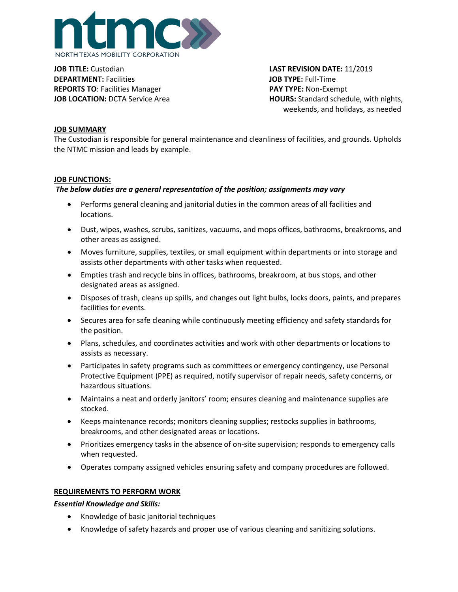

**JOB TITLE:** Custodian **LAST REVISION DATE:** 11/2019 **DEPARTMENT:** Facilities **JOB TYPE:** Full-Time **REPORTS TO**: Facilities Manager **PAY TYPE:** Non-Exempt

**JOB LOCATION:** DCTA Service Area **HOURS:** Standard schedule, with nights, weekends, and holidays, as needed

## **JOB SUMMARY**

The Custodian is responsible for general maintenance and cleanliness of facilities, and grounds. Upholds the NTMC mission and leads by example.

### **JOB FUNCTIONS:**

## *The below duties are a general representation of the position; assignments may vary*

- Performs general cleaning and janitorial duties in the common areas of all facilities and locations.
- Dust, wipes, washes, scrubs, sanitizes, vacuums, and mops offices, bathrooms, breakrooms, and other areas as assigned.
- Moves furniture, supplies, textiles, or small equipment within departments or into storage and assists other departments with other tasks when requested.
- Empties trash and recycle bins in offices, bathrooms, breakroom, at bus stops, and other designated areas as assigned.
- Disposes of trash, cleans up spills, and changes out light bulbs, locks doors, paints, and prepares facilities for events.
- Secures area for safe cleaning while continuously meeting efficiency and safety standards for the position.
- Plans, schedules, and coordinates activities and work with other departments or locations to assists as necessary.
- Participates in safety programs such as committees or emergency contingency, use Personal Protective Equipment (PPE) as required, notify supervisor of repair needs, safety concerns, or hazardous situations.
- Maintains a neat and orderly janitors' room; ensures cleaning and maintenance supplies are stocked.
- Keeps maintenance records; monitors cleaning supplies; restocks supplies in bathrooms, breakrooms, and other designated areas or locations.
- Prioritizes emergency tasks in the absence of on-site supervision; responds to emergency calls when requested.
- Operates company assigned vehicles ensuring safety and company procedures are followed.

## **REQUIREMENTS TO PERFORM WORK**

#### *Essential Knowledge and Skills:*

- Knowledge of basic janitorial techniques
- Knowledge of safety hazards and proper use of various cleaning and sanitizing solutions.